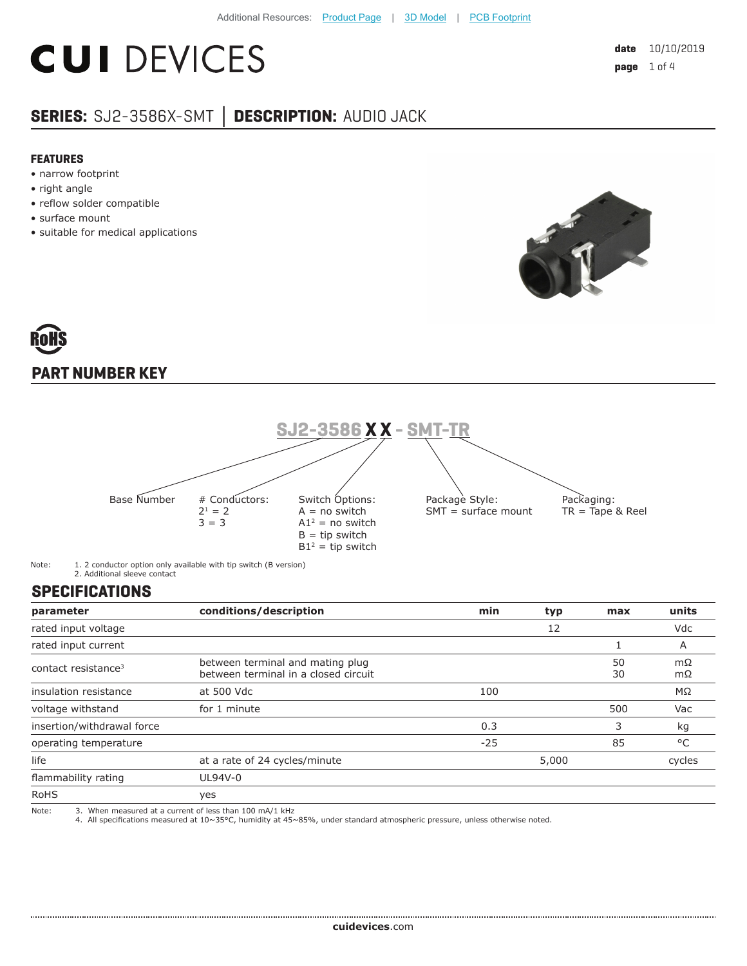## **CUI DEVICES**

### **SERIES:** SJ2-3586X-SMT **│ DESCRIPTION:** AUDIO JACK

#### **FEATURES**

- narrow footprint
- right angle
- reflow solder compatible
- surface mount
- suitable for medical applications



# **PART NUMBER KEY**



Note: 1. 2 conductor option only available with tip switch (B version) 2. Additional sleeve contact

#### **SPECIFICATIONS**

....................

| parameter                       | conditions/description                                                   | min   | typ   | max      | units    |
|---------------------------------|--------------------------------------------------------------------------|-------|-------|----------|----------|
| rated input voltage             |                                                                          |       | 12    |          | Vdc      |
| rated input current             |                                                                          |       |       |          | A        |
| contact resistance <sup>3</sup> | between terminal and mating plug<br>between terminal in a closed circuit |       |       | 50<br>30 | mΩ<br>mΩ |
| insulation resistance           | at 500 Vdc                                                               | 100   |       |          | MΩ       |
| voltage withstand               | for 1 minute                                                             |       |       | 500      | Vac      |
| insertion/withdrawal force      |                                                                          | 0.3   |       | 3        | kg       |
| operating temperature           |                                                                          | $-25$ |       | 85       | °C       |
| life                            | at a rate of 24 cycles/minute                                            |       | 5,000 |          | cycles   |
| flammability rating             | UL94V-0                                                                  |       |       |          |          |
| <b>RoHS</b>                     | yes                                                                      |       |       |          |          |
| Note:                           | 3. When measured at a current of less than 100 mA/1 kHz                  |       |       |          |          |

Note: 3. When measured at a current of less than 100 mA/1 kHz 4. All specifications measured at 10~35°C, humidity at 45~85%, under standard atmospheric pressure, unless otherwise noted.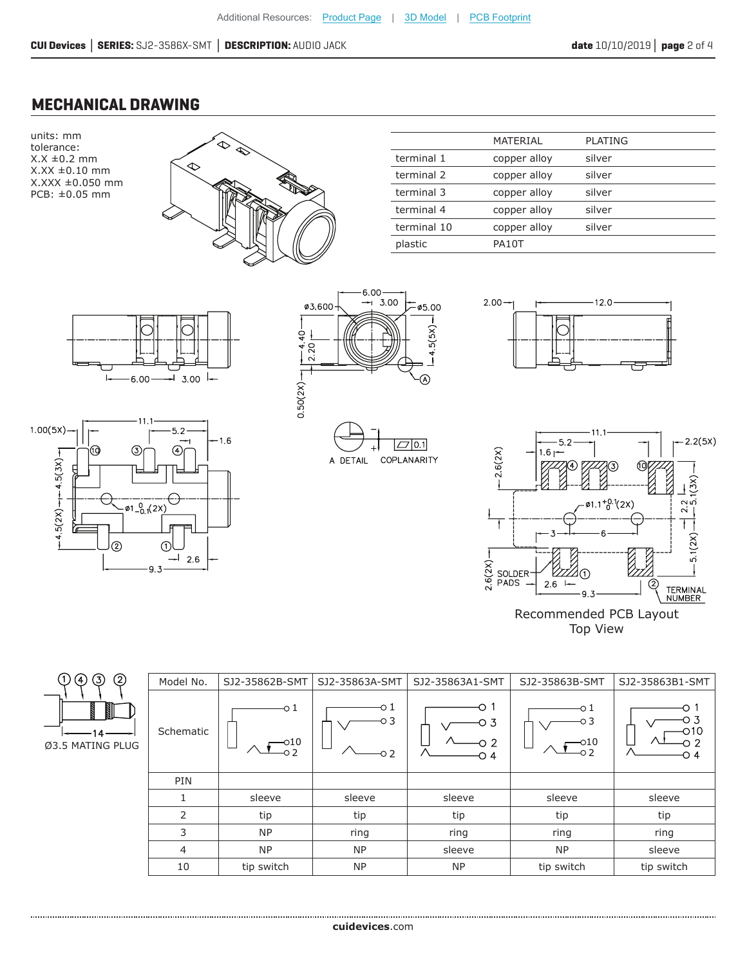#### **MECHANICAL DRAWING**

units: mm tolerance:  $X.X \pm 0.2$  mm X.XX ±0.10 mm X.XXX ±0.050 mm PCB: ±0.05 mm



|             | MATERIAL     | PLATING |
|-------------|--------------|---------|
| terminal 1  | copper alloy | silver  |
| terminal 2  | copper alloy | silver  |
| terminal 3  | copper alloy | silver  |
| terminal 4  | copper alloy | silver  |
| terminal 10 | copper alloy | silver  |
| plastic     | PA10T        |         |













| ( र                    |
|------------------------|
|                        |
| 14<br>Ø3.5 MATING PLUG |
|                        |

| Model No.      | SJ2-35862B-SMT     | SJ2-35863A-SMT   | SJ2-35863A1-SMT         | SJ2-35863B-SMT                      | SJ2-35863B1-SMT                         |
|----------------|--------------------|------------------|-------------------------|-------------------------------------|-----------------------------------------|
| Schematic      | -0 1<br>-010<br>02 | o 1<br>O 3<br>၁2 | ∩<br>о з<br>∩ 2.<br>O 4 | o 1<br>о 3<br>010<br>O <sub>2</sub> | ∩ 1<br>о з<br>$\Omega$ 10<br>O 2<br>O 4 |
| PIN            |                    |                  |                         |                                     |                                         |
| 1              | sleeve             | sleeve           | sleeve                  | sleeve                              | sleeve                                  |
| 2              | tip                | tip              | tip                     | tip                                 | tip                                     |
| 3              | <b>NP</b>          | ring             | ring                    | ring                                | ring                                    |
| $\overline{4}$ | <b>NP</b>          | <b>NP</b>        | sleeve                  | <b>NP</b>                           | sleeve                                  |
| 10             | tip switch         | <b>NP</b>        | <b>NP</b>               | tip switch                          | tip switch                              |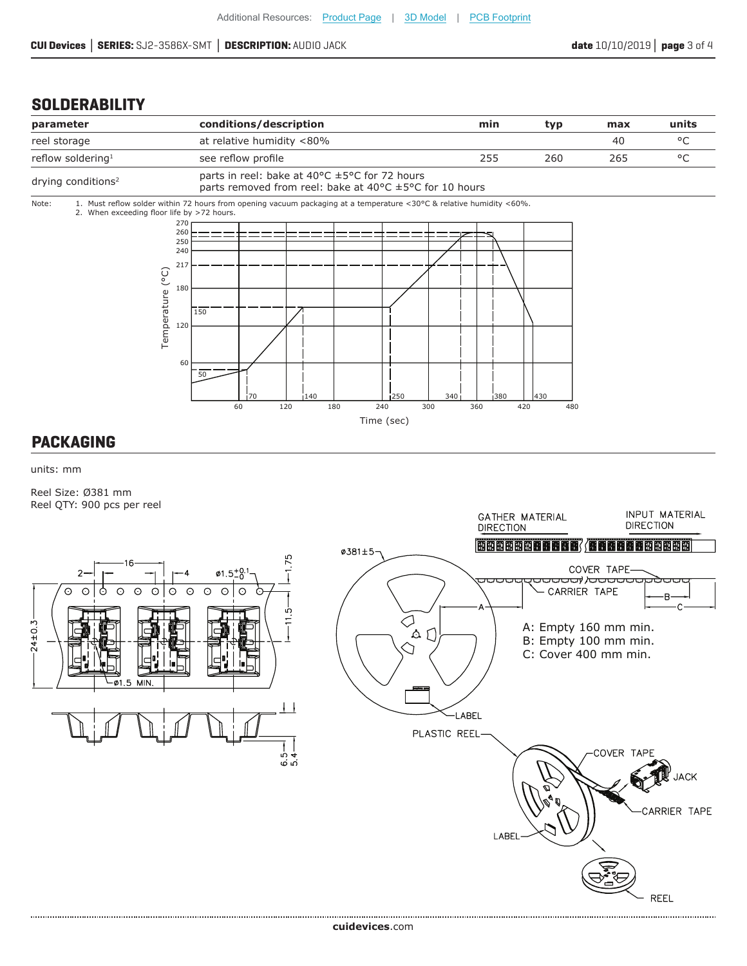#### **SOLDERABILITY**



#### **PACKAGING**

units: mm

Reel Size: Ø381 mm Reel QTY: 900 pcs per reel